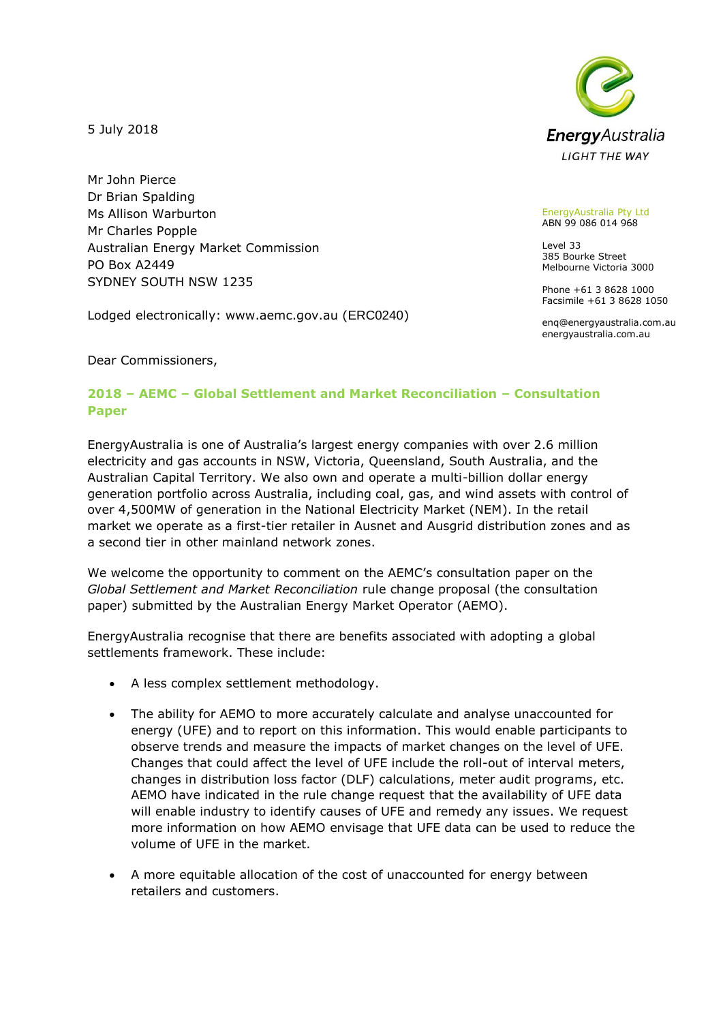5 July 2018

Mr John Pierce Dr Brian Spalding Ms Allison Warburton Mr Charles Popple Australian Energy Market Commission PO Box A2449 SYDNEY SOUTH NSW 1235

Lodged electronically: www.aemc.gov.au (ERC0240)



EnergyAustralia Pty Ltd ABN 99 086 014 968

Level 33 385 Bourke Street Melbourne Victoria 3000

Phone +61 3 8628 1000 Facsimile +61 3 8628 1050

enq@energyaustralia.com.au energyaustralia.com.au

Dear Commissioners,

## **2018 – AEMC – Global Settlement and Market Reconciliation – Consultation Paper**

EnergyAustralia is one of Australia's largest energy companies with over 2.6 million electricity and gas accounts in NSW, Victoria, Queensland, South Australia, and the Australian Capital Territory. We also own and operate a multi-billion dollar energy generation portfolio across Australia, including coal, gas, and wind assets with control of over 4,500MW of generation in the National Electricity Market (NEM). In the retail market we operate as a first-tier retailer in Ausnet and Ausgrid distribution zones and as a second tier in other mainland network zones.

We welcome the opportunity to comment on the AEMC's consultation paper on the *Global Settlement and Market Reconciliation* rule change proposal (the consultation paper) submitted by the Australian Energy Market Operator (AEMO).

EnergyAustralia recognise that there are benefits associated with adopting a global settlements framework. These include:

- A less complex settlement methodology.
- The ability for AEMO to more accurately calculate and analyse unaccounted for energy (UFE) and to report on this information. This would enable participants to observe trends and measure the impacts of market changes on the level of UFE. Changes that could affect the level of UFE include the roll-out of interval meters, changes in distribution loss factor (DLF) calculations, meter audit programs, etc. AEMO have indicated in the rule change request that the availability of UFE data will enable industry to identify causes of UFE and remedy any issues. We request more information on how AEMO envisage that UFE data can be used to reduce the volume of UFE in the market.
- A more equitable allocation of the cost of unaccounted for energy between retailers and customers.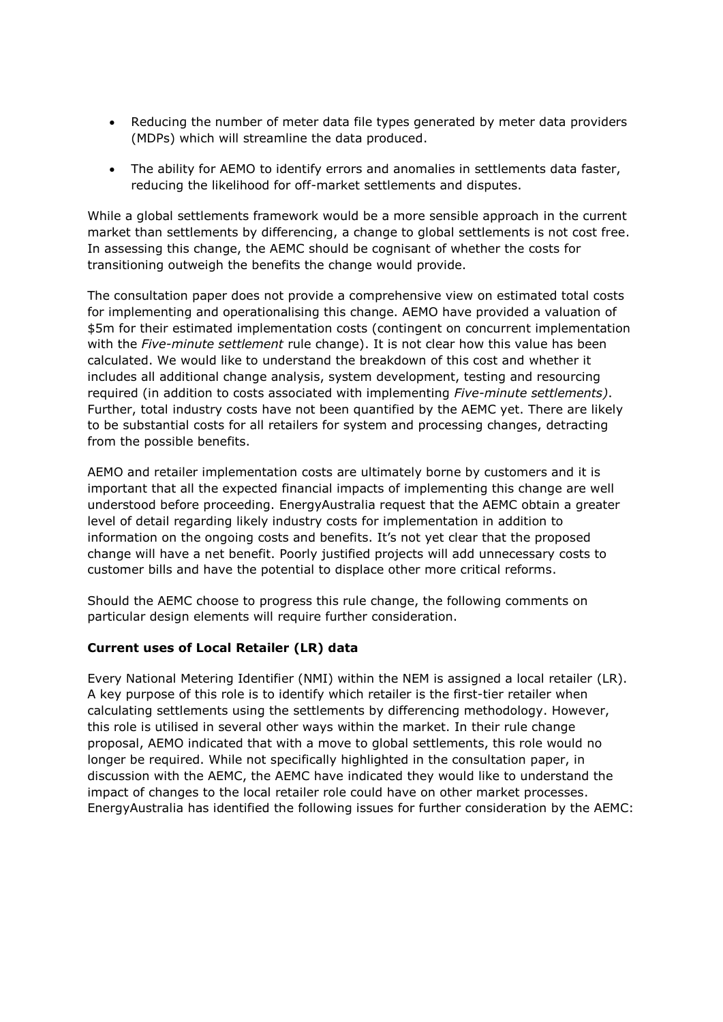- Reducing the number of meter data file types generated by meter data providers (MDPs) which will streamline the data produced.
- The ability for AEMO to identify errors and anomalies in settlements data faster, reducing the likelihood for off-market settlements and disputes.

While a global settlements framework would be a more sensible approach in the current market than settlements by differencing, a change to global settlements is not cost free. In assessing this change, the AEMC should be cognisant of whether the costs for transitioning outweigh the benefits the change would provide.

The consultation paper does not provide a comprehensive view on estimated total costs for implementing and operationalising this change. AEMO have provided a valuation of \$5m for their estimated implementation costs (contingent on concurrent implementation with the *Five-minute settlement* rule change). It is not clear how this value has been calculated. We would like to understand the breakdown of this cost and whether it includes all additional change analysis, system development, testing and resourcing required (in addition to costs associated with implementing *Five-minute settlements)*. Further, total industry costs have not been quantified by the AEMC yet. There are likely to be substantial costs for all retailers for system and processing changes, detracting from the possible benefits.

AEMO and retailer implementation costs are ultimately borne by customers and it is important that all the expected financial impacts of implementing this change are well understood before proceeding. EnergyAustralia request that the AEMC obtain a greater level of detail regarding likely industry costs for implementation in addition to information on the ongoing costs and benefits. It's not yet clear that the proposed change will have a net benefit. Poorly justified projects will add unnecessary costs to customer bills and have the potential to displace other more critical reforms.

Should the AEMC choose to progress this rule change, the following comments on particular design elements will require further consideration.

## **Current uses of Local Retailer (LR) data**

Every National Metering Identifier (NMI) within the NEM is assigned a local retailer (LR). A key purpose of this role is to identify which retailer is the first-tier retailer when calculating settlements using the settlements by differencing methodology. However, this role is utilised in several other ways within the market. In their rule change proposal, AEMO indicated that with a move to global settlements, this role would no longer be required. While not specifically highlighted in the consultation paper, in discussion with the AEMC, the AEMC have indicated they would like to understand the impact of changes to the local retailer role could have on other market processes. EnergyAustralia has identified the following issues for further consideration by the AEMC: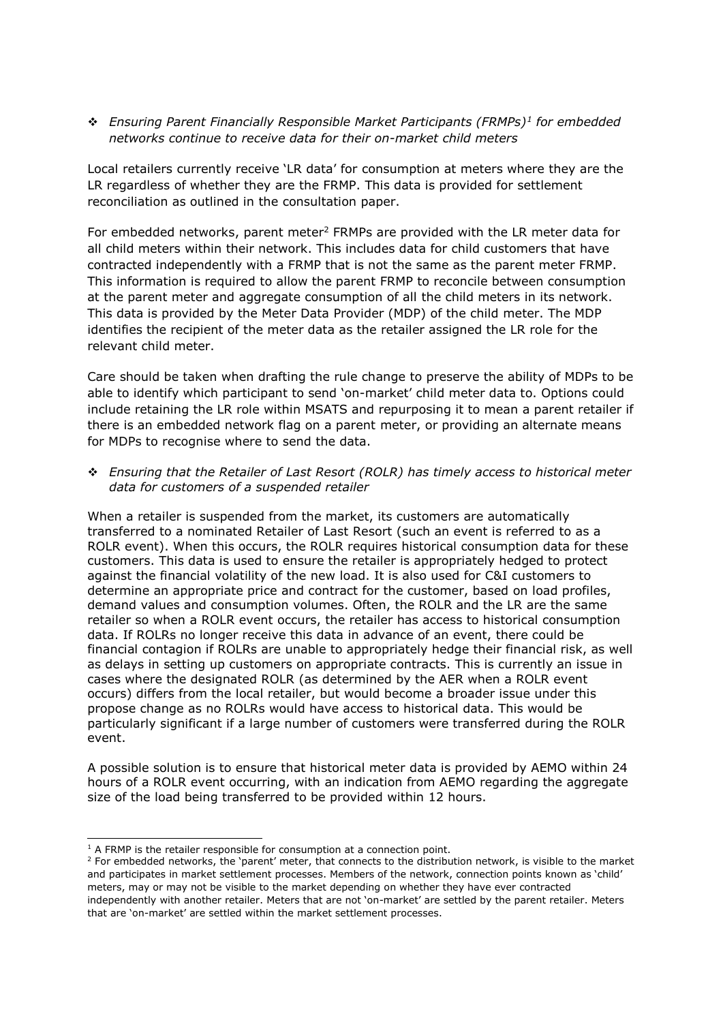❖ *Ensuring Parent Financially Responsible Market Participants (FRMPs)<sup>1</sup> for embedded networks continue to receive data for their on-market child meters*

Local retailers currently receive 'LR data' for consumption at meters where they are the LR regardless of whether they are the FRMP. This data is provided for settlement reconciliation as outlined in the consultation paper.

For embedded networks, parent meter<sup>2</sup> FRMPs are provided with the LR meter data for all child meters within their network. This includes data for child customers that have contracted independently with a FRMP that is not the same as the parent meter FRMP. This information is required to allow the parent FRMP to reconcile between consumption at the parent meter and aggregate consumption of all the child meters in its network. This data is provided by the Meter Data Provider (MDP) of the child meter. The MDP identifies the recipient of the meter data as the retailer assigned the LR role for the relevant child meter.

Care should be taken when drafting the rule change to preserve the ability of MDPs to be able to identify which participant to send 'on-market' child meter data to. Options could include retaining the LR role within MSATS and repurposing it to mean a parent retailer if there is an embedded network flag on a parent meter, or providing an alternate means for MDPs to recognise where to send the data.

❖ *Ensuring that the Retailer of Last Resort (ROLR) has timely access to historical meter data for customers of a suspended retailer*

When a retailer is suspended from the market, its customers are automatically transferred to a nominated Retailer of Last Resort (such an event is referred to as a ROLR event). When this occurs, the ROLR requires historical consumption data for these customers. This data is used to ensure the retailer is appropriately hedged to protect against the financial volatility of the new load. It is also used for C&I customers to determine an appropriate price and contract for the customer, based on load profiles, demand values and consumption volumes. Often, the ROLR and the LR are the same retailer so when a ROLR event occurs, the retailer has access to historical consumption data. If ROLRs no longer receive this data in advance of an event, there could be financial contagion if ROLRs are unable to appropriately hedge their financial risk, as well as delays in setting up customers on appropriate contracts. This is currently an issue in cases where the designated ROLR (as determined by the AER when a ROLR event occurs) differs from the local retailer, but would become a broader issue under this propose change as no ROLRs would have access to historical data. This would be particularly significant if a large number of customers were transferred during the ROLR event.

A possible solution is to ensure that historical meter data is provided by AEMO within 24 hours of a ROLR event occurring, with an indication from AEMO regarding the aggregate size of the load being transferred to be provided within 12 hours.

<sup>-</sup> $<sup>1</sup>$  A FRMP is the retailer responsible for consumption at a connection point.</sup>

<sup>&</sup>lt;sup>2</sup> For embedded networks, the 'parent' meter, that connects to the distribution network, is visible to the market and participates in market settlement processes. Members of the network, connection points known as 'child' meters, may or may not be visible to the market depending on whether they have ever contracted independently with another retailer. Meters that are not 'on-market' are settled by the parent retailer. Meters that are 'on-market' are settled within the market settlement processes.